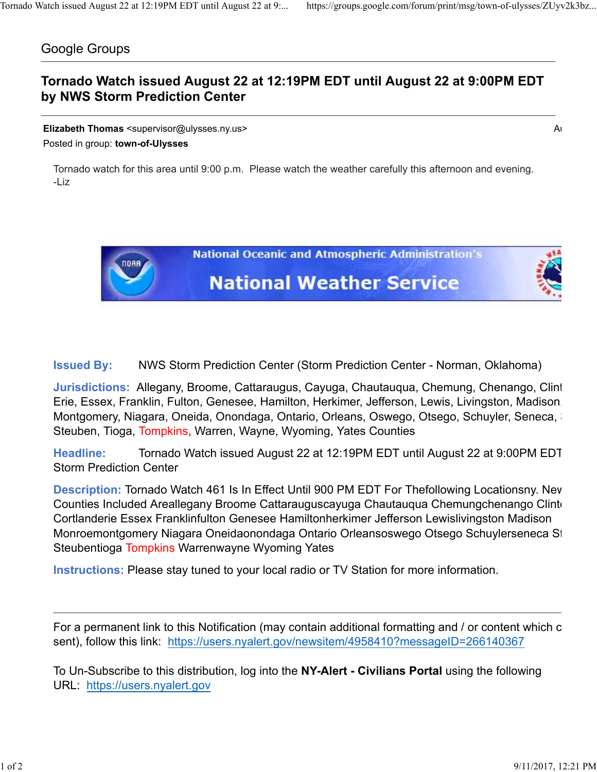## Google Groups

## **Tornado Watch issued August 22 at 12:19PM EDT until August 22 at 9:00PM EDT by NWS Storm Prediction Center**

**Elizabeth Thomas** <supervisor@ulysses.ny.us> Au Posted in group: **town-of-Ulysses**

Tornado watch for this area until 9:00 p.m. Please watch the weather carefully this afternoon and evening. -Liz

> **National Oceanic and Atmospheric Administration's National Weather Service**

**Issued By:** NWS Storm Prediction Center (Storm Prediction Center - Norman, Oklahoma)

**Jurisdictions:** Allegany, Broome, Cattaraugus, Cayuga, Chautauqua, Chemung, Chenango, Clint Erie, Essex, Franklin, Fulton, Genesee, Hamilton, Herkimer, Jefferson, Lewis, Livingston, Madison, Montgomery, Niagara, Oneida, Onondaga, Ontario, Orleans, Oswego, Otsego, Schuyler, Seneca, Steuben, Tioga, Tompkins, Warren, Wayne, Wyoming, Yates Counties

**Headline:** Tornado Watch issued August 22 at 12:19PM EDT until August 22 at 9:00PM EDT Storm Prediction Center

**Description:** Tornado Watch 461 Is In Effect Until 900 PM EDT For Thefollowing Locationsny. New Counties Included Areallegany Broome Cattarauguscayuga Chautaugua Chemungchenango Clinto Cortlanderie Essex Franklinfulton Genesee Hamiltonherkimer Jefferson Lewislivingston Madison Monroemontgomery Niagara Oneidaonondaga Ontario Orleansoswego Otsego Schuylerseneca St Steubentioga Tompkins Warrenwayne Wyoming Yates

**Instructions:** Please stay tuned to your local radio or TV Station for more information.

For a permanent link to this Notification (may contain additional formatting and / or content which c sent), follow this link: https://users.nyalert.gov/newsitem/4958410?messageID=266140367

To Un-Subscribe to this distribution, log into the **NY-Alert - Civilians Portal** using the following URL: https://users.nyalert.gov